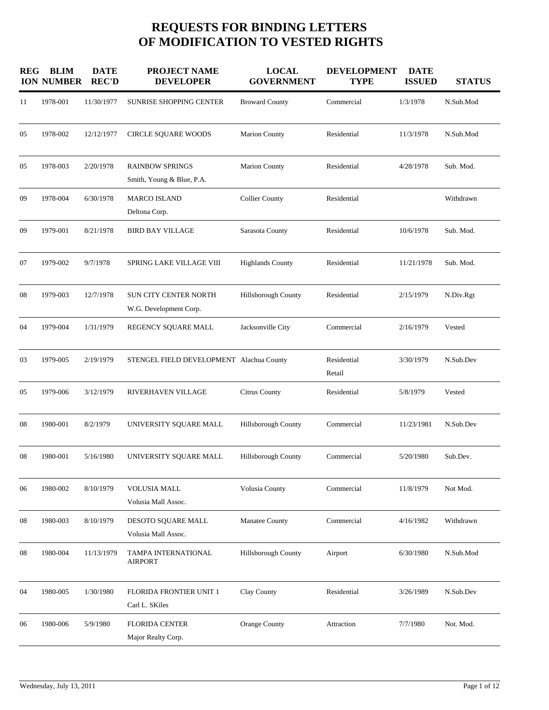## **REQUESTS FOR BINDING LETTERS OF MODIFICATION TO VESTED RIGHTS**

| <b>REG</b> | <b>BLIM</b><br><b>ION NUMBER</b> | <b>DATE</b><br><b>REC'D</b> | <b>PROJECT NAME</b><br><b>DEVELOPER</b>                | <b>LOCAL</b><br><b>GOVERNMENT</b> | <b>DEVELOPMENT</b><br><b>TYPE</b> | <b>DATE</b><br><b>ISSUED</b> | <b>STATUS</b> |
|------------|----------------------------------|-----------------------------|--------------------------------------------------------|-----------------------------------|-----------------------------------|------------------------------|---------------|
| 11         | 1978-001                         | 11/30/1977                  | <b>SUNRISE SHOPPING CENTER</b>                         | <b>Broward County</b>             | Commercial                        | 1/3/1978                     | N.Sub.Mod     |
| 05         | 1978-002                         | 12/12/1977                  | <b>CIRCLE SQUARE WOODS</b>                             | <b>Marion County</b>              | Residential                       | 11/3/1978                    | N.Sub.Mod     |
| 05         | 1978-003                         | 2/20/1978                   | <b>RAINBOW SPRINGS</b><br>Smith, Young & Blue, P.A.    | <b>Marion County</b>              | Residential                       | 4/28/1978                    | Sub. Mod.     |
| 09         | 1978-004                         | 6/30/1978                   | <b>MARCO ISLAND</b><br>Deltona Corp.                   | <b>Collier County</b>             | Residential                       |                              | Withdrawn     |
| 09         | 1979-001                         | 8/21/1978                   | <b>BIRD BAY VILLAGE</b>                                | Sarasota County                   | Residential                       | 10/6/1978                    | Sub. Mod.     |
| 07         | 1979-002                         | 9/7/1978                    | SPRING LAKE VILLAGE VIII                               | <b>Highlands County</b>           | Residential                       | 11/21/1978                   | Sub. Mod.     |
| 08         | 1979-003                         | 12/7/1978                   | <b>SUN CITY CENTER NORTH</b><br>W.G. Development Corp. | <b>Hillsborough County</b>        | Residential                       | 2/15/1979                    | N.Div.Rgt     |
| 04         | 1979-004                         | 1/31/1979                   | REGENCY SQUARE MALL                                    | Jacksonville City                 | Commercial                        | 2/16/1979                    | Vested        |
| 03         | 1979-005                         | 2/19/1979                   | STENGEL FIELD DEVELOPMENT Alachua County               |                                   | Residential<br>Retail             | 3/30/1979                    | N.Sub.Dev     |
| 05         | 1979-006                         | 3/12/1979                   | RIVERHAVEN VILLAGE                                     | <b>Citrus County</b>              | Residential                       | 5/8/1979                     | Vested        |
| 08         | 1980-001                         | 8/2/1979                    | UNIVERSITY SQUARE MALL                                 | <b>Hillsborough County</b>        | Commercial                        | 11/23/1981                   | N.Sub.Dev     |
| 08         | 1980-001                         | 5/16/1980                   | UNIVERSITY SQUARE MALL                                 | <b>Hillsborough County</b>        | Commercial                        | 5/20/1980                    | Sub.Dev.      |
| 06         | 1980-002                         | 8/10/1979                   | <b>VOLUSIA MALL</b><br>Volusia Mall Assoc.             | Volusia County                    | Commercial                        | 11/8/1979                    | Not Mod.      |
| 08         | 1980-003                         | 8/10/1979                   | DESOTO SQUARE MALL<br>Volusia Mall Assoc.              | Manatee County                    | Commercial                        | 4/16/1982                    | Withdrawn     |
| 08         | 1980-004                         | 11/13/1979                  | TAMPA INTERNATIONAL<br><b>AIRPORT</b>                  | Hillsborough County               | Airport                           | 6/30/1980                    | N.Sub.Mod     |
| 04         | 1980-005                         | 1/30/1980                   | <b>FLORIDA FRONTIER UNIT 1</b><br>Carl L. SKiles       | Clay County                       | Residential                       | 3/26/1989                    | N.Sub.Dev     |
| 06         | 1980-006                         | 5/9/1980                    | <b>FLORIDA CENTER</b><br>Major Realty Corp.            | Orange County                     | Attraction                        | 7/7/1980                     | Not. Mod.     |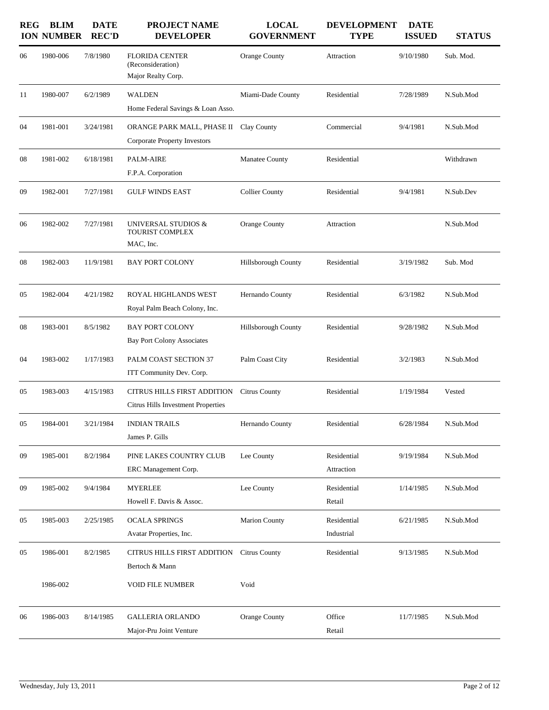| <b>REG</b> | <b>BLIM</b><br><b>ION NUMBER</b> | <b>DATE</b><br><b>REC'D</b> | PROJECT NAME<br><b>DEVELOPER</b>                                  | <b>LOCAL</b><br><b>GOVERNMENT</b> | <b>DEVELOPMENT</b><br><b>TYPE</b> | <b>DATE</b><br><b>ISSUED</b> | <b>STATUS</b> |
|------------|----------------------------------|-----------------------------|-------------------------------------------------------------------|-----------------------------------|-----------------------------------|------------------------------|---------------|
| 06         | 1980-006                         | 7/8/1980                    | <b>FLORIDA CENTER</b><br>(Reconsideration)<br>Major Realty Corp.  | Orange County                     | Attraction                        | 9/10/1980                    | Sub. Mod.     |
| 11         | 1980-007                         | 6/2/1989                    | WALDEN<br>Home Federal Savings & Loan Asso.                       | Miami-Dade County                 | Residential                       | 7/28/1989                    | N.Sub.Mod     |
| 04         | 1981-001                         | 3/24/1981                   | ORANGE PARK MALL, PHASE II<br><b>Corporate Property Investors</b> | Clay County                       | Commercial                        | 9/4/1981                     | N.Sub.Mod     |
| 08         | 1981-002                         | 6/18/1981                   | <b>PALM-AIRE</b><br>F.P.A. Corporation                            | <b>Manatee County</b>             | Residential                       |                              | Withdrawn     |
| 09         | 1982-001                         | 7/27/1981                   | <b>GULF WINDS EAST</b>                                            | <b>Collier County</b>             | Residential                       | 9/4/1981                     | N.Sub.Dev     |
| 06         | 1982-002                         | 7/27/1981                   | UNIVERSAL STUDIOS &<br>TOURIST COMPLEX<br>MAC, Inc.               | Orange County                     | Attraction                        |                              | N.Sub.Mod     |
| 08         | 1982-003                         | 11/9/1981                   | <b>BAY PORT COLONY</b>                                            | Hillsborough County               | Residential                       | 3/19/1982                    | Sub. Mod      |
| 05         | 1982-004                         | 4/21/1982                   | ROYAL HIGHLANDS WEST<br>Royal Palm Beach Colony, Inc.             | Hernando County                   | Residential                       | 6/3/1982                     | N.Sub.Mod     |
| 08         | 1983-001                         | 8/5/1982                    | <b>BAY PORT COLONY</b><br><b>Bay Port Colony Associates</b>       | Hillsborough County               | Residential                       | 9/28/1982                    | N.Sub.Mod     |
| 04         | 1983-002                         | 1/17/1983                   | PALM COAST SECTION 37<br>ITT Community Dev. Corp.                 | Palm Coast City                   | Residential                       | 3/2/1983                     | N.Sub.Mod     |
| 05         | 1983-003                         | 4/15/1983                   | CITRUS HILLS FIRST ADDITION<br>Citrus Hills Investment Properties | <b>Citrus County</b>              | Residential                       | 1/19/1984                    | Vested        |
| 05         | 1984-001                         | 3/21/1984                   | <b>INDIAN TRAILS</b><br>James P. Gills                            | Hernando County                   | Residential                       | 6/28/1984                    | N.Sub.Mod     |
| 09         | 1985-001                         | 8/2/1984                    | PINE LAKES COUNTRY CLUB<br>ERC Management Corp.                   | Lee County                        | Residential<br>Attraction         | 9/19/1984                    | N.Sub.Mod     |
| 09         | 1985-002                         | 9/4/1984                    | <b>MYERLEE</b><br>Howell F. Davis & Assoc.                        | Lee County                        | Residential<br>Retail             | 1/14/1985                    | N.Sub.Mod     |
| 05         | 1985-003                         | 2/25/1985                   | <b>OCALA SPRINGS</b><br>Avatar Properties, Inc.                   | Marion County                     | Residential<br>Industrial         | 6/21/1985                    | N.Sub.Mod     |
| 05         | 1986-001                         | 8/2/1985                    | CITRUS HILLS FIRST ADDITION<br>Bertoch & Mann                     | <b>Citrus County</b>              | Residential                       | 9/13/1985                    | N.Sub.Mod     |
|            | 1986-002                         |                             | <b>VOID FILE NUMBER</b>                                           | Void                              |                                   |                              |               |
| 06         | 1986-003                         | 8/14/1985                   | <b>GALLERIA ORLANDO</b><br>Major-Pru Joint Venture                | Orange County                     | Office<br>Retail                  | 11/7/1985                    | N.Sub.Mod     |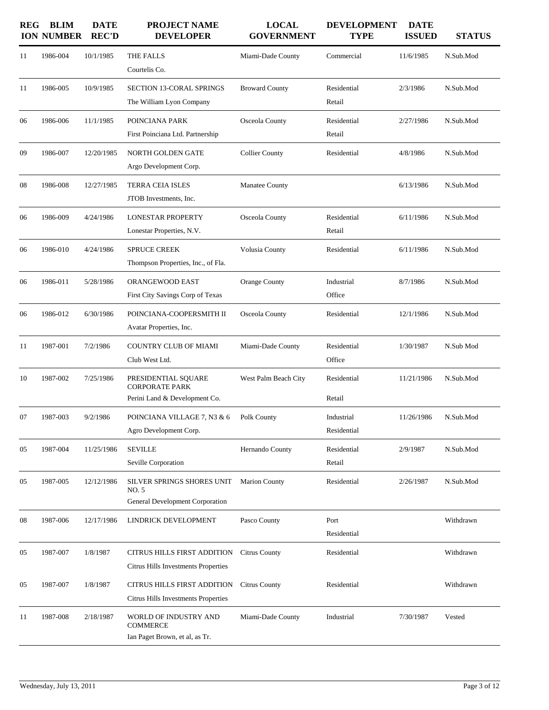| REG | <b>BLIM</b><br><b>ION NUMBER</b> | <b>DATE</b><br><b>REC'D</b> | <b>PROJECT NAME</b><br><b>DEVELOPER</b>                                       | <b>LOCAL</b><br><b>GOVERNMENT</b> | <b>DEVELOPMENT</b><br><b>TYPE</b> | <b>DATE</b><br><b>ISSUED</b> | <b>STATUS</b> |
|-----|----------------------------------|-----------------------------|-------------------------------------------------------------------------------|-----------------------------------|-----------------------------------|------------------------------|---------------|
| 11  | 1986-004                         | 10/1/1985                   | THE FALLS<br>Courtelis Co.                                                    | Miami-Dade County                 | Commercial                        | 11/6/1985                    | N.Sub.Mod     |
| 11  | 1986-005                         | 10/9/1985                   | <b>SECTION 13-CORAL SPRINGS</b><br>The William Lyon Company                   | <b>Broward County</b>             | Residential<br>Retail             | 2/3/1986                     | N.Sub.Mod     |
| 06  | 1986-006                         | 11/1/1985                   | POINCIANA PARK<br>First Poinciana Ltd. Partnership                            | Osceola County                    | Residential<br>Retail             | 2/27/1986                    | N.Sub.Mod     |
| 09  | 1986-007                         | 12/20/1985                  | <b>NORTH GOLDEN GATE</b><br>Argo Development Corp.                            | <b>Collier County</b>             | Residential                       | 4/8/1986                     | N.Sub.Mod     |
| 08  | 1986-008                         | 12/27/1985                  | <b>TERRA CEIA ISLES</b><br>JTOB Investments, Inc.                             | <b>Manatee County</b>             |                                   | 6/13/1986                    | N.Sub.Mod     |
| 06  | 1986-009                         | 4/24/1986                   | <b>LONESTAR PROPERTY</b><br>Lonestar Properties, N.V.                         | Osceola County                    | Residential<br>Retail             | 6/11/1986                    | N.Sub.Mod     |
| 06  | 1986-010                         | 4/24/1986                   | <b>SPRUCE CREEK</b><br>Thompson Properties, Inc., of Fla.                     | Volusia County                    | Residential                       | 6/11/1986                    | N.Sub.Mod     |
| 06  | 1986-011                         | 5/28/1986                   | ORANGEWOOD EAST<br>First City Savings Corp of Texas                           | Orange County                     | Industrial<br>Office              | 8/7/1986                     | N.Sub.Mod     |
| 06  | 1986-012                         | 6/30/1986                   | POINCIANA-COOPERSMITH II<br>Avatar Properties, Inc.                           | Osceola County                    | Residential                       | 12/1/1986                    | N.Sub.Mod     |
| 11  | 1987-001                         | 7/2/1986                    | <b>COUNTRY CLUB OF MIAMI</b><br>Club West Ltd.                                | Miami-Dade County                 | Residential<br>Office             | 1/30/1987                    | N.Sub Mod     |
| 10  | 1987-002                         | 7/25/1986                   | PRESIDENTIAL SOUARE<br><b>CORPORATE PARK</b><br>Perini Land & Development Co. | West Palm Beach City              | Residential<br>Retail             | 11/21/1986                   | N.Sub.Mod     |
| 07  | 1987-003                         | 9/2/1986                    | POINCIANA VILLAGE 7, N3 & 6<br>Agro Development Corp.                         | Polk County                       | Industrial<br>Residential         | 11/26/1986                   | N.Sub.Mod     |
| 05  | 1987-004                         | 11/25/1986                  | <b>SEVILLE</b><br>Seville Corporation                                         | Hernando County                   | Residential<br>Retail             | 2/9/1987                     | N.Sub.Mod     |
| 05  | 1987-005                         | 12/12/1986                  | SILVER SPRINGS SHORES UNIT<br>NO. 5<br>General Development Corporation        | <b>Marion County</b>              | Residential                       | 2/26/1987                    | N.Sub.Mod     |
| 08  | 1987-006                         | 12/17/1986                  | LINDRICK DEVELOPMENT                                                          | Pasco County                      | Port<br>Residential               |                              | Withdrawn     |
| 05  | 1987-007                         | 1/8/1987                    | CITRUS HILLS FIRST ADDITION<br>Citrus Hills Investments Properties            | <b>Citrus County</b>              | Residential                       |                              | Withdrawn     |
| 05  | 1987-007                         | 1/8/1987                    | CITRUS HILLS FIRST ADDITION<br>Citrus Hills Investments Properties            | <b>Citrus County</b>              | Residential                       |                              | Withdrawn     |
| 11  | 1987-008                         | 2/18/1987                   | WORLD OF INDUSTRY AND<br><b>COMMERCE</b><br>Ian Paget Brown, et al, as Tr.    | Miami-Dade County                 | Industrial                        | 7/30/1987                    | Vested        |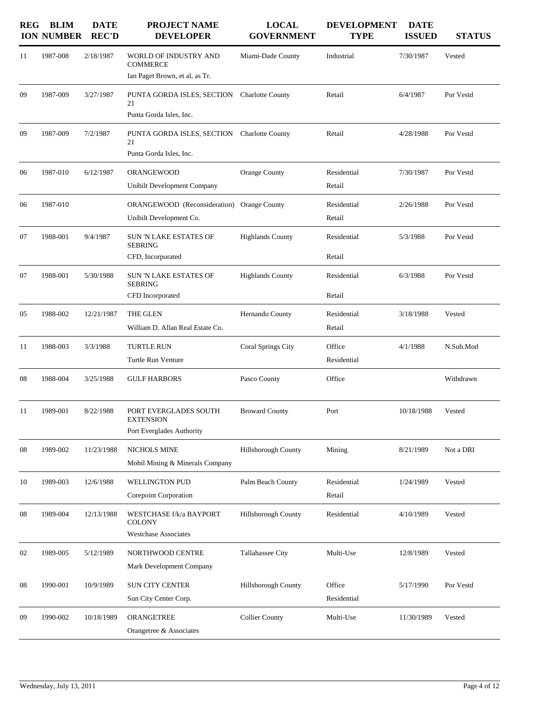| <b>REG</b> | <b>BLIM</b><br><b>ION NUMBER</b> | <b>DATE</b><br><b>REC'D</b> | <b>PROJECT NAME</b><br><b>DEVELOPER</b>                                    | <b>LOCAL</b><br><b>GOVERNMENT</b> | <b>DEVELOPMENT</b><br><b>TYPE</b> | <b>DATE</b><br><b>ISSUED</b> | <b>STATUS</b> |
|------------|----------------------------------|-----------------------------|----------------------------------------------------------------------------|-----------------------------------|-----------------------------------|------------------------------|---------------|
| 11         | 1987-008                         | 2/18/1987                   | WORLD OF INDUSTRY AND<br><b>COMMERCE</b><br>Ian Paget Brown, et al, as Tr. | Miami-Dade County                 | Industrial                        | 7/30/1987                    | Vested        |
| 09         | 1987-009                         | 3/27/1987                   | PUNTA GORDA ISLES, SECTION<br>21<br>Punta Gorda Isles, Inc.                | <b>Charlotte County</b>           | Retail                            | 6/4/1987                     | Por Vestd     |
| 09         | 1987-009                         | 7/2/1987                    | PUNTA GORDA ISLES, SECTION<br>21<br>Punta Gorda Isles, Inc.                | <b>Charlotte County</b>           | Retail                            | 4/28/1988                    | Por Vestd     |
| 06         | 1987-010                         | 6/12/1987                   | ORANGEWOOD<br>Unibilt Development Company                                  | Orange County                     | Residential<br>Retail             | 7/30/1987                    | Por Vestd     |
| 06         | 1987-010                         |                             | ORANGEWOOD (Reconsideration) Orange County<br>Unibilt Development Co.      |                                   | Residential<br>Retail             | 2/26/1988                    | Por Vestd     |
| 07         | 1988-001                         | 9/4/1987                    | <b>SUN 'N LAKE ESTATES OF</b><br><b>SEBRING</b><br>CFD, Incorporated       | <b>Highlands County</b>           | Residential<br>Retail             | 5/3/1988                     | Por Vestd     |
| 07         | 1988-001                         | 5/30/1988                   | <b>SUN 'N LAKE ESTATES OF</b><br><b>SEBRING</b><br>CFD Incorporated        | <b>Highlands County</b>           | Residential<br>Retail             | 6/3/1988                     | Por Vestd     |
| 05         | 1988-002                         | 12/21/1987                  | THE GLEN<br>William D. Allan Real Estate Co.                               | Hernando County                   | Residential<br>Retail             | 3/18/1988                    | Vested        |
| 11         | 1988-003                         | 3/3/1988                    | <b>TURTLE RUN</b><br>Turtle Run Venture                                    | Coral Springs City                | Office<br>Residential             | 4/1/1988                     | N.Sub.Mod     |
| 08         | 1988-004                         | 3/25/1988                   | <b>GULF HARBORS</b>                                                        | Pasco County                      | Office                            |                              | Withdrawn     |
| 11         | 1989-001                         | 8/22/1988                   | PORT EVERGLADES SOUTH<br><b>EXTENSION</b><br>Port Everglades Authority     | <b>Broward County</b>             | Port                              | 10/18/1988                   | Vested        |
| 08         | 1989-002                         | 11/23/1988                  | <b>NICHOLS MINE</b><br>Mobil Mining & Minerals Company                     | <b>Hillsborough County</b>        | Mining                            | 8/21/1989                    | Not a DRI     |
| 10         | 1989-003                         | 12/6/1988                   | WELLINGTON PUD<br>Corepoint Corporation                                    | Palm Beach County                 | Residential<br>Retail             | 1/24/1989                    | Vested        |
| 08         | 1989-004                         | 12/13/1988                  | WESTCHASE f/k/a BAYPORT<br><b>COLONY</b><br><b>Westchase Associates</b>    | Hillsborough County               | Residential                       | 4/10/1989                    | Vested        |
| 02         | 1989-005                         | 5/12/1989                   | NORTHWOOD CENTRE<br>Mark Development Company                               | Tallahassee City                  | Multi-Use                         | 12/8/1989                    | Vested        |
| 08         | 1990-001                         | 10/9/1989                   | <b>SUN CITY CENTER</b><br>Sun City Center Corp.                            | Hillsborough County               | Office<br>Residential             | 5/17/1990                    | Por Vestd     |
| 09         | 1990-002                         | 10/18/1989                  | ORANGETREE<br>Orangetree & Associates                                      | <b>Collier County</b>             | Multi-Use                         | 11/30/1989                   | Vested        |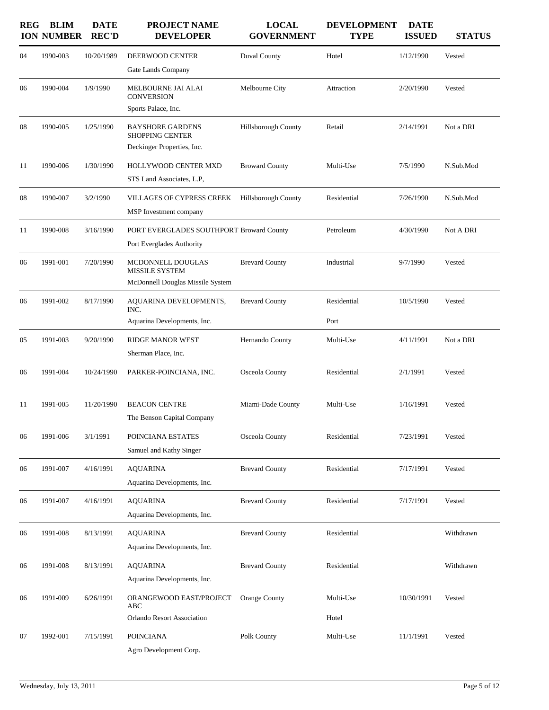| <b>REG</b> | <b>BLIM</b><br><b>ION NUMBER</b> | <b>DATE</b><br><b>REC'D</b> | <b>PROJECT NAME</b><br><b>DEVELOPER</b>           | <b>LOCAL</b><br><b>GOVERNMENT</b> | <b>DEVELOPMENT</b><br><b>TYPE</b> | <b>DATE</b><br><b>ISSUED</b> | <b>STATUS</b> |
|------------|----------------------------------|-----------------------------|---------------------------------------------------|-----------------------------------|-----------------------------------|------------------------------|---------------|
| 04         | 1990-003                         | 10/20/1989                  | DEERWOOD CENTER<br>Gate Lands Company             | Duval County                      | Hotel                             | 1/12/1990                    | Vested        |
| 06         | 1990-004                         | 1/9/1990                    | MELBOURNE JAI ALAI<br><b>CONVERSION</b>           | Melbourne City                    | Attraction                        | 2/20/1990                    | Vested        |
|            |                                  |                             | Sports Palace, Inc.                               |                                   |                                   |                              |               |
| 08         | 1990-005                         | 1/25/1990                   | <b>BAYSHORE GARDENS</b><br><b>SHOPPING CENTER</b> | <b>Hillsborough County</b>        | Retail                            | 2/14/1991                    | Not a DRI     |
|            |                                  |                             | Deckinger Properties, Inc.                        |                                   |                                   |                              |               |
| 11         | 1990-006                         | 1/30/1990                   | HOLLYWOOD CENTER MXD                              | <b>Broward County</b>             | Multi-Use                         | 7/5/1990                     | N.Sub.Mod     |
|            |                                  |                             | STS Land Associates, L.P.                         |                                   |                                   |                              |               |
| 08         | 1990-007                         | 3/2/1990                    | VILLAGES OF CYPRESS CREEK                         | <b>Hillsborough County</b>        | Residential                       | 7/26/1990                    | N.Sub.Mod     |
|            |                                  |                             | MSP Investment company                            |                                   |                                   |                              |               |
| 11         | 1990-008                         | 3/16/1990                   | PORT EVERGLADES SOUTHPORT Broward County          |                                   | Petroleum                         | 4/30/1990                    | Not A DRI     |
|            |                                  |                             | Port Everglades Authority                         |                                   |                                   |                              |               |
| 06         | 1991-001                         | 7/20/1990                   | MCDONNELL DOUGLAS<br>MISSILE SYSTEM               | <b>Brevard County</b>             | Industrial                        | 9/7/1990                     | Vested        |
|            |                                  |                             | McDonnell Douglas Missile System                  |                                   |                                   |                              |               |
| 06         | 1991-002                         | 8/17/1990                   | AQUARINA DEVELOPMENTS,<br>INC.                    | <b>Brevard County</b>             | Residential                       | 10/5/1990                    | Vested        |
|            |                                  |                             | Aquarina Developments, Inc.                       |                                   | Port                              |                              |               |
| 05         | 1991-003                         | 9/20/1990                   | <b>RIDGE MANOR WEST</b>                           | Hernando County                   | Multi-Use                         | 4/11/1991                    | Not a DRI     |
|            |                                  |                             | Sherman Place, Inc.                               |                                   |                                   |                              |               |
| 06         | 1991-004                         | 10/24/1990                  | PARKER-POINCIANA, INC.                            | Osceola County                    | Residential                       | 2/1/1991                     | Vested        |
| 11         | 1991-005                         | 11/20/1990                  | <b>BEACON CENTRE</b>                              | Miami-Dade County                 | Multi-Use                         | 1/16/1991                    | Vested        |
|            |                                  |                             | The Benson Capital Company                        |                                   |                                   |                              |               |
| 06         | 1991-006                         | 3/1/1991                    | POINCIANA ESTATES                                 | Osceola County                    | Residential                       | 7/23/1991                    | Vested        |
|            |                                  |                             | Samuel and Kathy Singer                           |                                   |                                   |                              |               |
| 06         | 1991-007                         | 4/16/1991                   | <b>AQUARINA</b>                                   | <b>Brevard County</b>             | Residential                       | 7/17/1991                    | Vested        |
|            |                                  |                             | Aquarina Developments, Inc.                       |                                   |                                   |                              |               |
|            |                                  |                             |                                                   |                                   |                                   |                              |               |
| 06         | 1991-007                         | 4/16/1991                   | <b>AQUARINA</b><br>Aquarina Developments, Inc.    | <b>Brevard County</b>             | Residential                       | 7/17/1991                    | Vested        |
|            |                                  |                             |                                                   |                                   |                                   |                              |               |
| 06         | 1991-008                         | 8/13/1991                   | <b>AQUARINA</b><br>Aquarina Developments, Inc.    | <b>Brevard County</b>             | Residential                       |                              | Withdrawn     |
| 06         | 1991-008                         | 8/13/1991                   | <b>AQUARINA</b>                                   | <b>Brevard County</b>             | Residential                       |                              | Withdrawn     |
|            |                                  |                             | Aquarina Developments, Inc.                       |                                   |                                   |                              |               |
| 06         | 1991-009                         | 6/26/1991                   | ORANGEWOOD EAST/PROJECT<br>ABC                    | <b>Orange County</b>              | Multi-Use                         | 10/30/1991                   | Vested        |
|            |                                  |                             | Orlando Resort Association                        |                                   | Hotel                             |                              |               |
| 07         | 1992-001                         | 7/15/1991                   | <b>POINCIANA</b><br>Agro Development Corp.        | Polk County                       | Multi-Use                         | 11/1/1991                    | Vested        |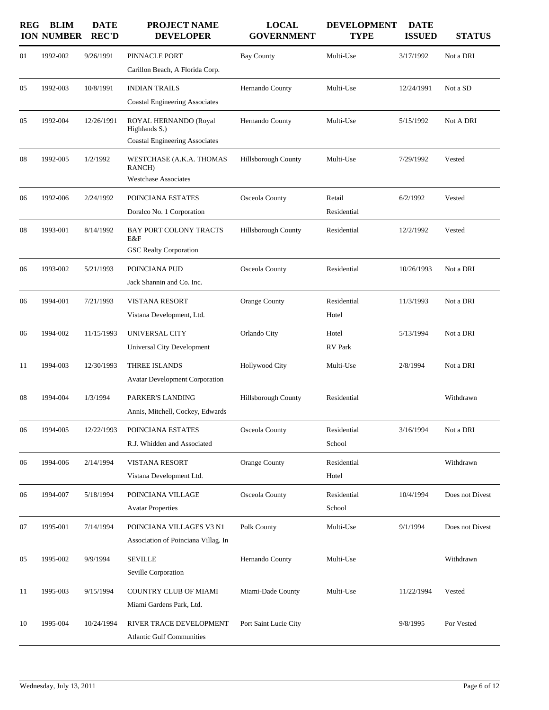| <b>REG</b> | <b>BLIM</b><br><b>ION NUMBER</b> | <b>DATE</b><br><b>REC'D</b> | PROJECT NAME<br><b>DEVELOPER</b>                                                | <b>LOCAL</b><br><b>GOVERNMENT</b> | <b>DEVELOPMENT</b><br><b>TYPE</b> | <b>DATE</b><br><b>ISSUED</b> | <b>STATUS</b>   |
|------------|----------------------------------|-----------------------------|---------------------------------------------------------------------------------|-----------------------------------|-----------------------------------|------------------------------|-----------------|
| 01         | 1992-002                         | 9/26/1991                   | PINNACLE PORT<br>Carillon Beach, A Florida Corp.                                | <b>Bay County</b>                 | Multi-Use                         | 3/17/1992                    | Not a DRI       |
| 05         | 1992-003                         | 10/8/1991                   | <b>INDIAN TRAILS</b><br><b>Coastal Engineering Associates</b>                   | Hernando County                   | Multi-Use                         | 12/24/1991                   | Not a SD        |
| 05         | 1992-004                         | 12/26/1991                  | ROYAL HERNANDO (Royal<br>Highlands S.)<br><b>Coastal Engineering Associates</b> | Hernando County                   | Multi-Use                         | 5/15/1992                    | Not A DRI       |
| 08         | 1992-005                         | 1/2/1992                    | WESTCHASE (A.K.A. THOMAS<br>RANCH)<br><b>Westchase Associates</b>               | Hillsborough County               | Multi-Use                         | 7/29/1992                    | Vested          |
| 06         | 1992-006                         | 2/24/1992                   | POINCIANA ESTATES<br>Doralco No. 1 Corporation                                  | Osceola County                    | Retail<br>Residential             | 6/2/1992                     | Vested          |
| 08         | 1993-001                         | 8/14/1992                   | BAY PORT COLONY TRACTS<br>E&F<br><b>GSC Realty Corporation</b>                  | Hillsborough County               | Residential                       | 12/2/1992                    | Vested          |
| 06         | 1993-002                         | 5/21/1993                   | POINCIANA PUD<br>Jack Shannin and Co. Inc.                                      | Osceola County                    | Residential                       | 10/26/1993                   | Not a DRI       |
| 06         | 1994-001                         | 7/21/1993                   | <b>VISTANA RESORT</b><br>Vistana Development, Ltd.                              | Orange County                     | Residential<br>Hotel              | 11/3/1993                    | Not a DRI       |
| 06         | 1994-002                         | 11/15/1993                  | UNIVERSAL CITY<br><b>Universal City Development</b>                             | Orlando City                      | Hotel<br><b>RV</b> Park           | 5/13/1994                    | Not a DRI       |
| 11         | 1994-003                         | 12/30/1993                  | THREE ISLANDS<br><b>Avatar Development Corporation</b>                          | <b>Hollywood City</b>             | Multi-Use                         | 2/8/1994                     | Not a DRI       |
| 08         | 1994-004                         | 1/3/1994                    | PARKER'S LANDING<br>Annis, Mitchell, Cockey, Edwards                            | Hillsborough County               | Residential                       |                              | Withdrawn       |
| 06         | 1994-005                         | 12/22/1993                  | POINCIANA ESTATES<br>R.J. Whidden and Associated                                | Osceola County                    | Residential<br>School             | 3/16/1994                    | Not a DRI       |
| 06         | 1994-006                         | 2/14/1994                   | VISTANA RESORT<br>Vistana Development Ltd.                                      | Orange County                     | Residential<br>Hotel              |                              | Withdrawn       |
| 06         | 1994-007                         | 5/18/1994                   | POINCIANA VILLAGE<br><b>Avatar Properties</b>                                   | Osceola County                    | Residential<br>School             | 10/4/1994                    | Does not Divest |
| 07         | 1995-001                         | 7/14/1994                   | POINCIANA VILLAGES V3 N1<br>Association of Poinciana Villag. In                 | Polk County                       | Multi-Use                         | 9/1/1994                     | Does not Divest |
| 05         | 1995-002                         | 9/9/1994                    | <b>SEVILLE</b><br>Seville Corporation                                           | Hernando County                   | Multi-Use                         |                              | Withdrawn       |
| 11         | 1995-003                         | 9/15/1994                   | <b>COUNTRY CLUB OF MIAMI</b><br>Miami Gardens Park, Ltd.                        | Miami-Dade County                 | Multi-Use                         | 11/22/1994                   | Vested          |
| 10         | 1995-004                         | 10/24/1994                  | RIVER TRACE DEVELOPMENT<br><b>Atlantic Gulf Communities</b>                     | Port Saint Lucie City             |                                   | 9/8/1995                     | Por Vested      |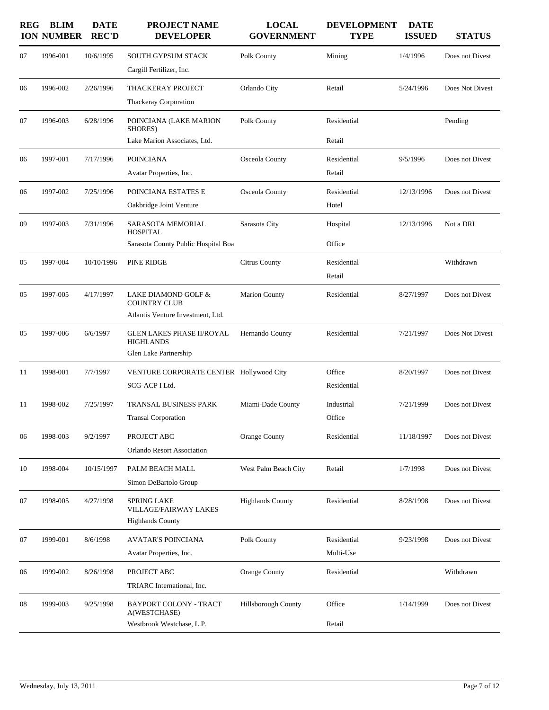| <b>REG</b> | <b>BLIM</b><br><b>ION NUMBER</b> | <b>DATE</b><br><b>REC'D</b> | <b>PROJECT NAME</b><br><b>DEVELOPER</b>                                         | <b>LOCAL</b><br><b>GOVERNMENT</b> | <b>DEVELOPMENT</b><br><b>TYPE</b> | <b>DATE</b><br><b>ISSUED</b> | <b>STATUS</b>   |
|------------|----------------------------------|-----------------------------|---------------------------------------------------------------------------------|-----------------------------------|-----------------------------------|------------------------------|-----------------|
| 07         | 1996-001                         | 10/6/1995                   | <b>SOUTH GYPSUM STACK</b><br>Cargill Fertilizer, Inc.                           | Polk County                       | Mining                            | 1/4/1996                     | Does not Divest |
| 06         | 1996-002                         | 2/26/1996                   | <b>THACKERAY PROJECT</b><br>Thackeray Corporation                               | Orlando City                      | Retail                            | 5/24/1996                    | Does Not Divest |
| 07         | 1996-003                         | 6/28/1996                   | POINCIANA (LAKE MARION<br>SHORES)<br>Lake Marion Associates, Ltd.               | Polk County                       | Residential<br>Retail             |                              | Pending         |
| 06         | 1997-001                         | 7/17/1996                   | <b>POINCIANA</b><br>Avatar Properties, Inc.                                     | Osceola County                    | Residential<br>Retail             | 9/5/1996                     | Does not Divest |
| 06         | 1997-002                         | 7/25/1996                   | POINCIANA ESTATES E<br>Oakbridge Joint Venture                                  | Osceola County                    | Residential<br>Hotel              | 12/13/1996                   | Does not Divest |
| 09         | 1997-003                         | 7/31/1996                   | SARASOTA MEMORIAL<br><b>HOSPITAL</b><br>Sarasota County Public Hospital Boa     | Sarasota City                     | Hospital<br>Office                | 12/13/1996                   | Not a DRI       |
| 05         | 1997-004                         | 10/10/1996                  | PINE RIDGE                                                                      | <b>Citrus County</b>              | Residential<br>Retail             |                              | Withdrawn       |
| 05         | 1997-005                         | 4/17/1997                   | LAKE DIAMOND GOLF &<br><b>COUNTRY CLUB</b><br>Atlantis Venture Investment, Ltd. | <b>Marion County</b>              | Residential                       | 8/27/1997                    | Does not Divest |
| 05         | 1997-006                         | 6/6/1997                    | <b>GLEN LAKES PHASE II/ROYAL</b><br><b>HIGHLANDS</b><br>Glen Lake Partnership   | Hernando County                   | Residential                       | 7/21/1997                    | Does Not Divest |
| 11         | 1998-001                         | 7/7/1997                    | VENTURE CORPORATE CENTER Hollywood City<br>SCG-ACP I Ltd.                       |                                   | Office<br>Residential             | 8/20/1997                    | Does not Divest |
| 11         | 1998-002                         | 7/25/1997                   | TRANSAL BUSINESS PARK<br><b>Transal Corporation</b>                             | Miami-Dade County                 | Industrial<br>Office              | 7/21/1999                    | Does not Divest |
| 06         | 1998-003                         | 9/2/1997                    | PROJECT ABC<br><b>Orlando Resort Association</b>                                | Orange County                     | Residential                       | 11/18/1997                   | Does not Divest |
| 10         | 1998-004                         | 10/15/1997                  | PALM BEACH MALL<br>Simon DeBartolo Group                                        | West Palm Beach City              | Retail                            | 1/7/1998                     | Does not Divest |
| 07         | 1998-005                         | 4/27/1998                   | <b>SPRING LAKE</b><br><b>VILLAGE/FAIRWAY LAKES</b><br><b>Highlands County</b>   | <b>Highlands County</b>           | Residential                       | 8/28/1998                    | Does not Divest |
| 07         | 1999-001                         | 8/6/1998                    | <b>AVATAR'S POINCIANA</b><br>Avatar Properties, Inc.                            | Polk County                       | Residential<br>Multi-Use          | 9/23/1998                    | Does not Divest |
| 06         | 1999-002                         | 8/26/1998                   | PROJECT ABC<br>TRIARC International, Inc.                                       | Orange County                     | Residential                       |                              | Withdrawn       |
| 08         | 1999-003                         | 9/25/1998                   | BAYPORT COLONY - TRACT<br>A(WESTCHASE)<br>Westbrook Westchase, L.P.             | Hillsborough County               | Office<br>Retail                  | 1/14/1999                    | Does not Divest |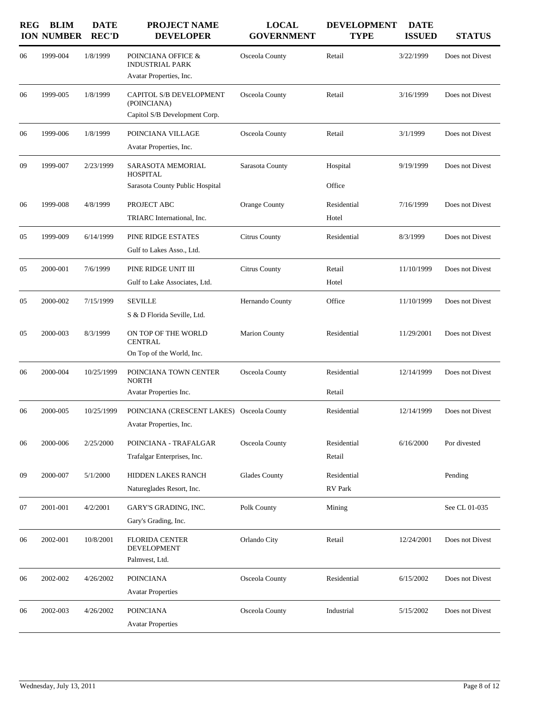| <b>REG</b> | <b>BLIM</b><br><b>ION NUMBER</b> | <b>DATE</b><br><b>REC'D</b> | <b>PROJECT NAME</b><br><b>DEVELOPER</b>                                 | <b>LOCAL</b><br><b>GOVERNMENT</b> | <b>DEVELOPMENT</b><br><b>TYPE</b> | <b>DATE</b><br><b>ISSUED</b> | <b>STATUS</b>   |
|------------|----------------------------------|-----------------------------|-------------------------------------------------------------------------|-----------------------------------|-----------------------------------|------------------------------|-----------------|
| 06         | 1999-004                         | 1/8/1999                    | POINCIANA OFFICE &<br><b>INDUSTRIAL PARK</b><br>Avatar Properties, Inc. | Osceola County                    | Retail                            | 3/22/1999                    | Does not Divest |
| 06         | 1999-005                         | 1/8/1999                    | CAPITOL S/B DEVELOPMENT<br>(POINCIANA)<br>Capitol S/B Development Corp. | Osceola County                    | Retail                            | 3/16/1999                    | Does not Divest |
| 06         | 1999-006                         | 1/8/1999                    | POINCIANA VILLAGE<br>Avatar Properties, Inc.                            | Osceola County                    | Retail                            | 3/1/1999                     | Does not Divest |
| 09         | 1999-007                         | 2/23/1999                   | SARASOTA MEMORIAL<br><b>HOSPITAL</b><br>Sarasota County Public Hospital | Sarasota County                   | Hospital<br>Office                | 9/19/1999                    | Does not Divest |
| 06         | 1999-008                         | 4/8/1999                    | PROJECT ABC<br>TRIARC International, Inc.                               | Orange County                     | Residential<br>Hotel              | 7/16/1999                    | Does not Divest |
| 05         | 1999-009                         | 6/14/1999                   | PINE RIDGE ESTATES<br>Gulf to Lakes Asso., Ltd.                         | <b>Citrus County</b>              | Residential                       | 8/3/1999                     | Does not Divest |
| 05         | 2000-001                         | 7/6/1999                    | PINE RIDGE UNIT III<br>Gulf to Lake Associates, Ltd.                    | <b>Citrus County</b>              | Retail<br>Hotel                   | 11/10/1999                   | Does not Divest |
| 05         | 2000-002                         | 7/15/1999                   | <b>SEVILLE</b><br>S & D Florida Seville, Ltd.                           | Hernando County                   | Office                            | 11/10/1999                   | Does not Divest |
| 05         | 2000-003                         | 8/3/1999                    | ON TOP OF THE WORLD<br><b>CENTRAL</b><br>On Top of the World, Inc.      | <b>Marion County</b>              | Residential                       | 11/29/2001                   | Does not Divest |
| 06         | 2000-004                         | 10/25/1999                  | POINCIANA TOWN CENTER<br><b>NORTH</b><br>Avatar Properties Inc.         | Osceola County                    | Residential<br>Retail             | 12/14/1999                   | Does not Divest |
| 06         | 2000-005                         | 10/25/1999                  | POINCIANA (CRESCENT LAKES) Osceola County<br>Avatar Properties, Inc.    |                                   | Residential                       | 12/14/1999                   | Does not Divest |
| 06         | 2000-006                         | 2/25/2000                   | POINCIANA - TRAFALGAR<br>Trafalgar Enterprises, Inc.                    | Osceola County                    | Residential<br>Retail             | 6/16/2000                    | Por divested    |
| 09         | 2000-007                         | 5/1/2000                    | HIDDEN LAKES RANCH<br>Natureglades Resort, Inc.                         | <b>Glades County</b>              | Residential<br>RV Park            |                              | Pending         |
| 07         | 2001-001                         | 4/2/2001                    | GARY'S GRADING, INC.<br>Gary's Grading, Inc.                            | Polk County                       | Mining                            |                              | See CL 01-035   |
| 06         | 2002-001                         | 10/8/2001                   | <b>FLORIDA CENTER</b><br>DEVELOPMENT<br>Palmvest, Ltd.                  | Orlando City                      | Retail                            | 12/24/2001                   | Does not Divest |
| 06         | 2002-002                         | 4/26/2002                   | <b>POINCIANA</b><br><b>Avatar Properties</b>                            | Osceola County                    | Residential                       | 6/15/2002                    | Does not Divest |
| 06         | 2002-003                         | 4/26/2002                   | <b>POINCIANA</b><br><b>Avatar Properties</b>                            | Osceola County                    | Industrial                        | 5/15/2002                    | Does not Divest |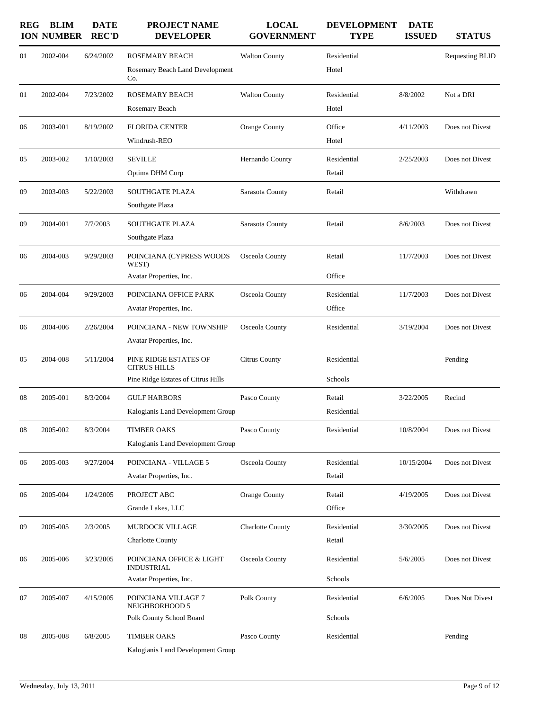| <b>REG</b> | <b>BLIM</b><br><b>ION NUMBER</b> | <b>DATE</b><br><b>REC'D</b> | <b>PROJECT NAME</b><br><b>DEVELOPER</b>                                            | <b>LOCAL</b><br><b>GOVERNMENT</b> | <b>DEVELOPMENT</b><br><b>TYPE</b> | <b>DATE</b><br><b>ISSUED</b> | <b>STATUS</b>          |
|------------|----------------------------------|-----------------------------|------------------------------------------------------------------------------------|-----------------------------------|-----------------------------------|------------------------------|------------------------|
| 01         | 2002-004                         | 6/24/2002                   | ROSEMARY BEACH<br>Rosemary Beach Land Development<br>Co.                           | <b>Walton County</b>              | Residential<br>Hotel              |                              | <b>Requesting BLID</b> |
| 01         | 2002-004                         | 7/23/2002                   | ROSEMARY BEACH<br>Rosemary Beach                                                   | <b>Walton County</b>              | Residential<br>Hotel              | 8/8/2002                     | Not a DRI              |
| 06         | 2003-001                         | 8/19/2002                   | <b>FLORIDA CENTER</b><br>Windrush-REO                                              | Orange County                     | Office<br>Hotel                   | 4/11/2003                    | Does not Divest        |
| 05         | 2003-002                         | 1/10/2003                   | <b>SEVILLE</b><br>Optima DHM Corp                                                  | Hernando County                   | Residential<br>Retail             | 2/25/2003                    | Does not Divest        |
| 09         | 2003-003                         | 5/22/2003                   | <b>SOUTHGATE PLAZA</b><br>Southgate Plaza                                          | Sarasota County                   | Retail                            |                              | Withdrawn              |
| 09         | 2004-001                         | 7/7/2003                    | <b>SOUTHGATE PLAZA</b><br>Southgate Plaza                                          | Sarasota County                   | Retail                            | 8/6/2003                     | Does not Divest        |
| 06         | 2004-003                         | 9/29/2003                   | POINCIANA (CYPRESS WOODS<br>WEST)<br>Avatar Properties, Inc.                       | Osceola County                    | Retail<br>Office                  | 11/7/2003                    | Does not Divest        |
| 06         | 2004-004                         | 9/29/2003                   | POINCIANA OFFICE PARK<br>Avatar Properties, Inc.                                   | Osceola County                    | Residential<br>Office             | 11/7/2003                    | Does not Divest        |
| 06         | 2004-006                         | 2/26/2004                   | POINCIANA - NEW TOWNSHIP<br>Avatar Properties, Inc.                                | Osceola County                    | Residential                       | 3/19/2004                    | Does not Divest        |
| 05         | 2004-008                         | 5/11/2004                   | PINE RIDGE ESTATES OF<br><b>CITRUS HILLS</b><br>Pine Ridge Estates of Citrus Hills | <b>Citrus County</b>              | Residential<br>Schools            |                              | Pending                |
| 08         | 2005-001                         | 8/3/2004                    | <b>GULF HARBORS</b><br>Kalogianis Land Development Group                           | Pasco County                      | Retail<br>Residential             | 3/22/2005                    | Recind                 |
| 08         | 2005-002                         | 8/3/2004                    | <b>TIMBER OAKS</b><br>Kalogianis Land Development Group                            | Pasco County                      | Residential                       | 10/8/2004                    | Does not Divest        |
| 06         | 2005-003                         | 9/27/2004                   | POINCIANA - VILLAGE 5<br>Avatar Properties, Inc.                                   | Osceola County                    | Residential<br>Retail             | 10/15/2004                   | Does not Divest        |
| 06         | 2005-004                         | 1/24/2005                   | PROJECT ABC<br>Grande Lakes, LLC                                                   | Orange County                     | Retail<br>Office                  | 4/19/2005                    | Does not Divest        |
| 09         | 2005-005                         | 2/3/2005                    | MURDOCK VILLAGE<br><b>Charlotte County</b>                                         | <b>Charlotte County</b>           | Residential<br>Retail             | 3/30/2005                    | Does not Divest        |
| 06         | 2005-006                         | 3/23/2005                   | POINCIANA OFFICE & LIGHT<br><b>INDUSTRIAL</b><br>Avatar Properties, Inc.           | Osceola County                    | Residential<br>Schools            | 5/6/2005                     | Does not Divest        |
| 07         | 2005-007                         | 4/15/2005                   | POINCIANA VILLAGE 7<br>NEIGHBORHOOD 5<br>Polk County School Board                  | Polk County                       | Residential<br>Schools            | 6/6/2005                     | Does Not Divest        |
| 08         | 2005-008                         | 6/8/2005                    | <b>TIMBER OAKS</b><br>Kalogianis Land Development Group                            | Pasco County                      | Residential                       |                              | Pending                |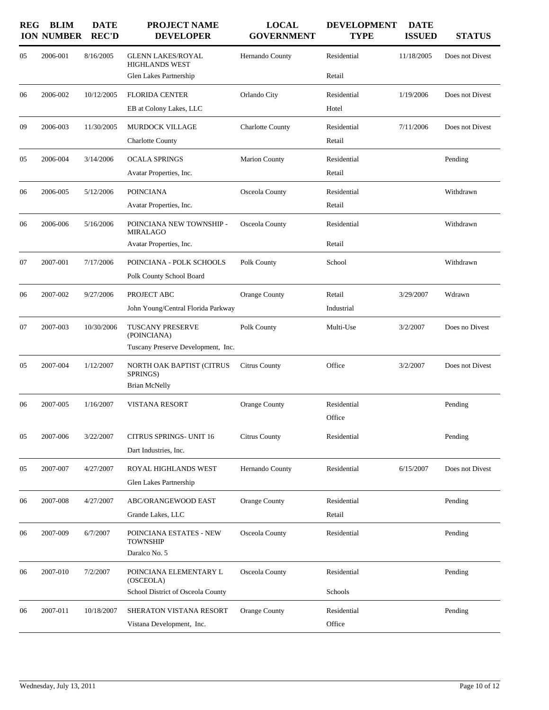| <b>REG</b> | <b>BLIM</b><br><b>ION NUMBER</b> | <b>DATE</b><br><b>REC'D</b> | PROJECT NAME<br><b>DEVELOPER</b>                                             | <b>LOCAL</b><br><b>GOVERNMENT</b> | <b>DEVELOPMENT</b><br><b>TYPE</b> | <b>DATE</b><br><b>ISSUED</b> | <b>STATUS</b>   |
|------------|----------------------------------|-----------------------------|------------------------------------------------------------------------------|-----------------------------------|-----------------------------------|------------------------------|-----------------|
| 05         | 2006-001                         | 8/16/2005                   | <b>GLENN LAKES/ROYAL</b><br><b>HIGHLANDS WEST</b><br>Glen Lakes Partnership  | Hernando County                   | Residential<br>Retail             | 11/18/2005                   | Does not Divest |
| 06         | 2006-002                         | 10/12/2005                  | <b>FLORIDA CENTER</b><br>EB at Colony Lakes, LLC                             | Orlando City                      | Residential<br>Hotel              | 1/19/2006                    | Does not Divest |
| 09         | 2006-003                         | 11/30/2005                  | <b>MURDOCK VILLAGE</b><br><b>Charlotte County</b>                            | <b>Charlotte County</b>           | Residential<br>Retail             | 7/11/2006                    | Does not Divest |
| 05         | 2006-004                         | 3/14/2006                   | <b>OCALA SPRINGS</b><br>Avatar Properties, Inc.                              | <b>Marion County</b>              | Residential<br>Retail             |                              | Pending         |
| 06         | 2006-005                         | 5/12/2006                   | <b>POINCIANA</b><br>Avatar Properties, Inc.                                  | Osceola County                    | Residential<br>Retail             |                              | Withdrawn       |
| 06         | 2006-006                         | 5/16/2006                   | POINCIANA NEW TOWNSHIP -<br><b>MIRALAGO</b><br>Avatar Properties, Inc.       | Osceola County                    | Residential<br>Retail             |                              | Withdrawn       |
| 07         | 2007-001                         | 7/17/2006                   | POINCIANA - POLK SCHOOLS<br>Polk County School Board                         | Polk County                       | School                            |                              | Withdrawn       |
| 06         | 2007-002                         | 9/27/2006                   | PROJECT ABC<br>John Young/Central Florida Parkway                            | Orange County                     | Retail<br>Industrial              | 3/29/2007                    | Wdrawn          |
| 07         | 2007-003                         | 10/30/2006                  | <b>TUSCANY PRESERVE</b><br>(POINCIANA)<br>Tuscany Preserve Development, Inc. | Polk County                       | Multi-Use                         | 3/2/2007                     | Does no Divest  |
| 05         | 2007-004                         | 1/12/2007                   | NORTH OAK BAPTIST (CITRUS<br>SPRINGS)<br><b>Brian McNelly</b>                | <b>Citrus County</b>              | Office                            | 3/2/2007                     | Does not Divest |
| 06         | 2007-005                         | 1/16/2007                   | <b>VISTANA RESORT</b>                                                        | Orange County                     | Residential<br>Office             |                              | Pending         |
| 05         | 2007-006                         | 3/22/2007                   | <b>CITRUS SPRINGS- UNIT 16</b><br>Dart Industries, Inc.                      | Citrus County                     | Residential                       |                              | Pending         |
| 05         | 2007-007                         | 4/27/2007                   | ROYAL HIGHLANDS WEST<br>Glen Lakes Partnership                               | Hernando County                   | Residential                       | 6/15/2007                    | Does not Divest |
| 06         | 2007-008                         | 4/27/2007                   | ABC/ORANGEWOOD EAST<br>Grande Lakes, LLC                                     | Orange County                     | Residential<br>Retail             |                              | Pending         |
| 06         | 2007-009                         | 6/7/2007                    | POINCIANA ESTATES - NEW<br><b>TOWNSHIP</b><br>Daralco No. 5                  | Osceola County                    | Residential                       |                              | Pending         |
| 06         | 2007-010                         | 7/2/2007                    | POINCIANA ELEMENTARY L<br>(OSCEOLA)<br>School District of Osceola County     | Osceola County                    | Residential<br>Schools            |                              | Pending         |
| 06         | 2007-011                         | 10/18/2007                  | SHERATON VISTANA RESORT<br>Vistana Development, Inc.                         | Orange County                     | Residential<br>Office             |                              | Pending         |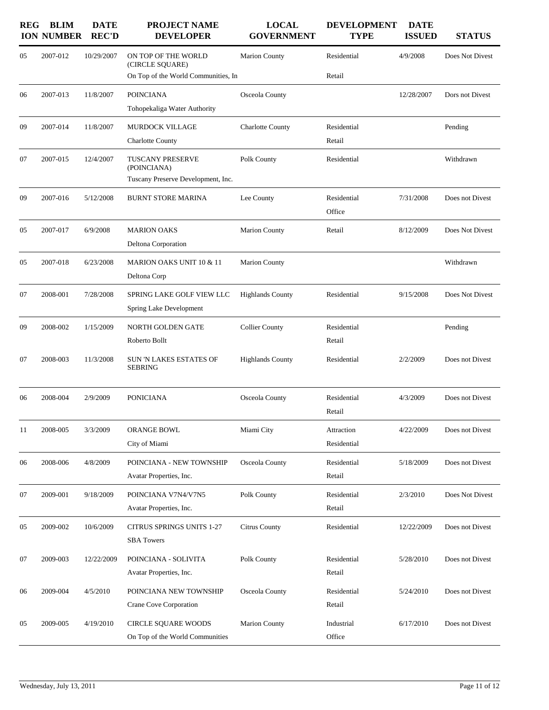| <b>REG</b> | <b>BLIM</b><br><b>ION NUMBER</b> | <b>DATE</b><br><b>REC'D</b> | <b>PROJECT NAME</b><br><b>DEVELOPER</b>                                       | <b>LOCAL</b><br><b>GOVERNMENT</b> | <b>DEVELOPMENT</b><br><b>TYPE</b> | <b>DATE</b><br><b>ISSUED</b> | <b>STATUS</b>   |
|------------|----------------------------------|-----------------------------|-------------------------------------------------------------------------------|-----------------------------------|-----------------------------------|------------------------------|-----------------|
| 05         | 2007-012                         | 10/29/2007                  | ON TOP OF THE WORLD<br>(CIRCLE SQUARE)<br>On Top of the World Communities, In | <b>Marion County</b>              | Residential<br>Retail             | 4/9/2008                     | Does Not Divest |
| 06         | 2007-013                         | 11/8/2007                   | <b>POINCIANA</b><br>Tohopekaliga Water Authority                              | Osceola County                    |                                   | 12/28/2007                   | Dors not Divest |
| 09         | 2007-014                         | 11/8/2007                   | <b>MURDOCK VILLAGE</b><br><b>Charlotte County</b>                             | Charlotte County                  | Residential<br>Retail             |                              | Pending         |
| 07         | 2007-015                         | 12/4/2007                   | TUSCANY PRESERVE<br>(POINCIANA)<br>Tuscany Preserve Development, Inc.         | Polk County                       | Residential                       |                              | Withdrawn       |
| 09         | 2007-016                         | 5/12/2008                   | <b>BURNT STORE MARINA</b>                                                     | Lee County                        | Residential<br>Office             | 7/31/2008                    | Does not Divest |
| 05         | 2007-017                         | 6/9/2008                    | <b>MARION OAKS</b><br>Deltona Corporation                                     | <b>Marion County</b>              | Retail                            | 8/12/2009                    | Does Not Divest |
| 05         | 2007-018                         | 6/23/2008                   | MARION OAKS UNIT 10 & 11<br>Deltona Corp                                      | <b>Marion County</b>              |                                   |                              | Withdrawn       |
| 07         | 2008-001                         | 7/28/2008                   | SPRING LAKE GOLF VIEW LLC<br>Spring Lake Development                          | <b>Highlands County</b>           | Residential                       | 9/15/2008                    | Does Not Divest |
| 09         | 2008-002                         | 1/15/2009                   | <b>NORTH GOLDEN GATE</b><br>Roberto Bollt                                     | <b>Collier County</b>             | Residential<br>Retail             |                              | Pending         |
| 07         | 2008-003                         | 11/3/2008                   | SUN 'N LAKES ESTATES OF<br><b>SEBRING</b>                                     | <b>Highlands County</b>           | Residential                       | 2/2/2009                     | Does not Divest |
| 06         | 2008-004                         | 2/9/2009                    | <b>PONICIANA</b>                                                              | Osceola County                    | Residential<br>Retail             | 4/3/2009                     | Does not Divest |
| 11         | 2008-005                         | 3/3/2009                    | ORANGE BOWL<br>City of Miami                                                  | Miami City                        | Attraction<br>Residential         | 4/22/2009                    | Does not Divest |
| 06         | 2008-006                         | 4/8/2009                    | POINCIANA - NEW TOWNSHIP<br>Avatar Properties, Inc.                           | Osceola County                    | Residential<br>Retail             | 5/18/2009                    | Does not Divest |
| 07         | 2009-001                         | 9/18/2009                   | POINCIANA V7N4/V7N5<br>Avatar Properties, Inc.                                | Polk County                       | Residential<br>Retail             | 2/3/2010                     | Does Not Divest |
| 05         | 2009-002                         | 10/6/2009                   | <b>CITRUS SPRINGS UNITS 1-27</b><br><b>SBA</b> Towers                         | <b>Citrus County</b>              | Residential                       | 12/22/2009                   | Does not Divest |
| 07         | 2009-003                         | 12/22/2009                  | POINCIANA - SOLIVITA<br>Avatar Properties, Inc.                               | Polk County                       | Residential<br>Retail             | 5/28/2010                    | Does not Divest |
| 06         | 2009-004                         | 4/5/2010                    | POINCIANA NEW TOWNSHIP<br>Crane Cove Corporation                              | Osceola County                    | Residential<br>Retail             | 5/24/2010                    | Does not Divest |
| 05         | 2009-005                         | 4/19/2010                   | CIRCLE SQUARE WOODS<br>On Top of the World Communities                        | Marion County                     | Industrial<br>Office              | 6/17/2010                    | Does not Divest |